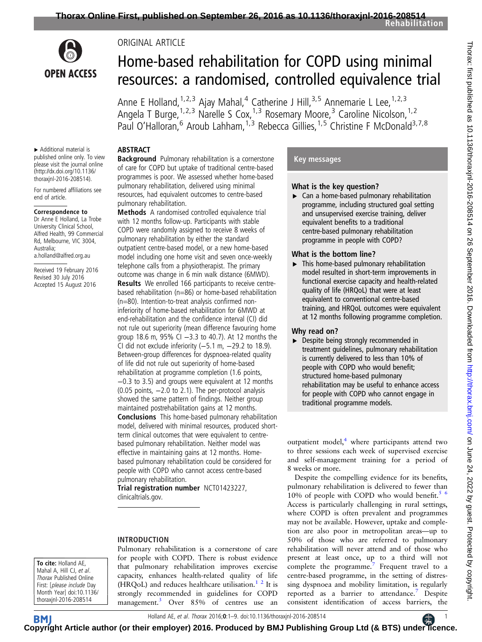

# **OPEN ACCESS**

# Home-based rehabilitation for COPD using minimal resources: a randomised, controlled equivalence trial

Anne E Holland, <sup>1, 2, 3</sup> Ajay Mahal, <sup>4</sup> Catherine J Hill, <sup>3, 5</sup> Annemarie L Lee, <sup>1, 2, 3</sup> Angela T Burge, <sup>1, 2, 3</sup> Narelle S Cox, <sup>1, 3</sup> Rosemary Moore, <sup>3</sup> Caroline Nicolson, <sup>1, 2</sup> Paul O'Halloran,<sup>6</sup> Aroub Lahham,<sup>1,3</sup> Rebecca Gillies,<sup>1,5</sup> Christine F McDonald<sup>3,7,8</sup>

# ABSTRACT

ORIGINAL ARTICLE

▸ Additional material is published online only. To view please visit the journal online [\(http://dx.doi.org/10.1136/](http://dx.doi.org/10.1136/thoraxjnl-2016-208514) [thoraxjnl-2016-208514\)](http://dx.doi.org/10.1136/thoraxjnl-2016-208514).

For numbered affiliations see end of article.

#### Correspondence to

Dr Anne E Holland, La Trobe University Clinical School, Alfred Health, 99 Commercial Rd, Melbourne, VIC 3004, Australia; a.holland@alfred.org.au

Received 19 February 2016 Revised 30 July 2016 Accepted 15 August 2016

**Background** Pulmonary rehabilitation is a cornerstone of care for COPD but uptake of traditional centre-based programmes is poor. We assessed whether home-based pulmonary rehabilitation, delivered using minimal resources, had equivalent outcomes to centre-based pulmonary rehabilitation.

Methods A randomised controlled equivalence trial with 12 months follow-up. Participants with stable COPD were randomly assigned to receive 8 weeks of pulmonary rehabilitation by either the standard outpatient centre-based model, or a new home-based model including one home visit and seven once-weekly telephone calls from a physiotherapist. The primary outcome was change in 6 min walk distance (6MWD). Results We enrolled 166 participants to receive centrebased rehabilitation (n=86) or home-based rehabilitation (n=80). Intention-to-treat analysis confirmed noninferiority of home-based rehabilitation for 6MWD at end-rehabilitation and the confidence interval (CI) did not rule out superiority (mean difference favouring home group 18.6 m, 95% CI −3.3 to 40.7). At 12 months the CI did not exclude inferiority (−5.1 m, −29.2 to 18.9). Between-group differences for dyspnoea-related quality of life did not rule out superiority of home-based rehabilitation at programme completion (1.6 points, −0.3 to 3.5) and groups were equivalent at 12 months (0.05 points, −2.0 to 2.1). The per-protocol analysis showed the same pattern of findings. Neither group maintained postrehabilitation gains at 12 months. Conclusions This home-based pulmonary rehabilitation model, delivered with minimal resources, produced shortterm clinical outcomes that were equivalent to centrebased pulmonary rehabilitation. Neither model was effective in maintaining gains at 12 months. Homebased pulmonary rehabilitation could be considered for people with COPD who cannot access centre-based pulmonary rehabilitation.

Trial registration number NCT01423227, clinicaltrials.gov.

# INTRODUCTION

To cite: Holland AE, Mahal A, Hill CJ, et al. Thorax Published Online First: [please include Day Month Year] doi:10.1136/ thoraxjnl-2016-208514

Pulmonary rehabilitation is a cornerstone of care for people with COPD. There is robust evidence that pulmonary rehabilitation improves exercise capacity, enhances health-related quality of life (HRQoL) and reduces healthcare utilisation. $1^2$  It is strongly recommended in guidelines for COPD management.<sup>3</sup> Over 85% of centres use an

# Key messages

# What is the key question?

▶ Can a home-based pulmonary rehabilitation programme, including structured goal setting and unsupervised exercise training, deliver equivalent benefits to a traditional centre-based pulmonary rehabilitation programme in people with COPD?

# What is the bottom line?

▸ This home-based pulmonary rehabilitation model resulted in short-term improvements in functional exercise capacity and health-related quality of life (HRQoL) that were at least equivalent to conventional centre-based training, and HRQoL outcomes were equivalent at 12 months following programme completion.

# Why read on?

▸ Despite being strongly recommended in treatment guidelines, pulmonary rehabilitation is currently delivered to less than 10% of people with COPD who would benefit; structured home-based pulmonary rehabilitation may be useful to enhance access for people with COPD who cannot engage in traditional programme models.

outpatient model,<sup>4</sup> where participants attend two to three sessions each week of supervised exercise and self-management training for a period of 8 weeks or more.

Despite the compelling evidence for its benefits, pulmonary rehabilitation is delivered to fewer than 10% of people with COPD who would benefit.<sup>[5 6](#page-7-0)</sup>

Access is particularly challenging in rural settings, where COPD is often prevalent and programmes may not be available. However, uptake and completion are also poor in metropolitan areas—up to 50% of those who are referred to pulmonary rehabilitation will never attend and of those who present at least once, up to a third will not complete the programme. Frequent travel to a centre-based programme, in the setting of distressing dyspnoea and mobility limitation, is regularly reported as a barrier to attendance.<sup>[7](#page-7-0)</sup> Despite consistent identification of access barriers, the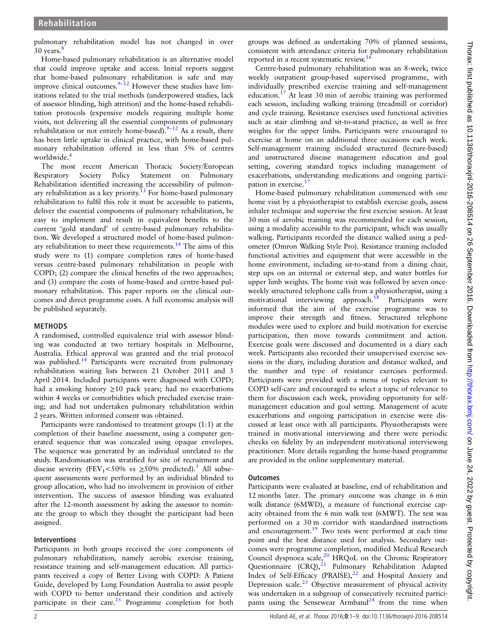pulmonary rehabilitation model has not changed in over 30 years.

Home-based pulmonary rehabilitation is an alternative model that could improve uptake and access. Initial reports suggest that home-based pulmonary rehabilitation is safe and may improve clinical outcomes. $9-12$  $9-12$  However these studies have limitations related to the trial methods (underpowered studies, lack of assessor blinding, high attrition) and the home-based rehabilitation protocols (expensive models requiring multiple home visits, not delivering all the essential components of pulmonary rehabilitation or not entirely home-based).<sup>9–[12](#page-7-0)</sup> As a result, there has been little uptake in clinical practice, with home-based pulmonary rehabilitation offered in less than 5% of centres worldwide.<sup>4</sup>

The most recent American Thoracic Society/European Respiratory Society Policy Statement on Pulmonary Rehabilitation identified increasing the accessibility of pulmon-ary rehabilitation as a key priority.<sup>[13](#page-7-0)</sup> For home-based pulmonary rehabilitation to fulfil this role it must be accessible to patients, deliver the essential components of pulmonary rehabilitation, be easy to implement and result in equivalent benefits to the current 'gold standard' of centre-based pulmonary rehabilitation. We developed a structured model of home-based pulmonary rehabilitation to meet these requirements.<sup>14</sup> The aims of this study were to (1) compare completion rates of home-based versus centre-based pulmonary rehabilitation in people with COPD; (2) compare the clinical benefits of the two approaches; and (3) compare the costs of home-based and centre-based pulmonary rehabilitation. This paper reports on the clinical outcomes and direct programme costs. A full economic analysis will be published separately.

#### METHODS

A randomised, controlled equivalence trial with assessor blinding was conducted at two tertiary hospitals in Melbourne, Australia. Ethical approval was granted and the trial protocol was published.<sup>[14](#page-7-0)</sup> Participants were recruited from pulmonary rehabilitation waiting lists between 21 October 2011 and 3 April 2014. Included participants were diagnosed with COPD; had a smoking history  $\geq 10$  pack years; had no exacerbations within 4 weeks or comorbidities which precluded exercise training; and had not undertaken pulmonary rehabilitation within 2 years. Written informed consent was obtained.

Participants were randomised to treatment groups (1:1) at the completion of their baseline assessment, using a computer generated sequence that was concealed using opaque envelopes. The sequence was generated by an individual unrelated to the study. Randomisation was stratified for site of recruitment and disease severity (FEV<sub>1</sub><50% vs  $\geq$ 50% predicted).<sup>[3](#page-7-0)</sup> All subsequent assessments were performed by an individual blinded to group allocation, who had no involvement in provision of either intervention. The success of assessor blinding was evaluated after the 12-month assessment by asking the assessor to nominate the group to which they thought the participant had been assigned.

#### Interventions

Participants in both groups received the core components of pulmonary rehabilitation, namely aerobic exercise training, resistance training and self-management education. All participants received a copy of Better Living with COPD: A Patient Guide, developed by Lung Foundation Australia to assist people with COPD to better understand their condition and actively participate in their care.<sup>15</sup> Programme completion for both

groups was defined as undertaking 70% of planned sessions, consistent with attendance criteria for pulmonary rehabilitation reported in a recent systematic review.<sup>1</sup>

Centre-based pulmonary rehabilitation was an 8-week, twice weekly outpatient group-based supervised programme, with individually prescribed exercise training and self-management education.<sup>17</sup> At least 30 min of aerobic training was performed each session, including walking training (treadmill or corridor) and cycle training. Resistance exercises used functional activities such as stair climbing and sit-to-stand practice, as well as free weights for the upper limbs. Participants were encouraged to exercise at home on an additional three occasions each week. Self-management training included structured (lecture-based) and unstructured disease management education and goal setting, covering standard topics including management of exacerbations, understanding medications and ongoing partici-pation in exercise.<sup>[17](#page-7-0)</sup>

Home-based pulmonary rehabilitation commenced with one home visit by a physiotherapist to establish exercise goals, assess inhaler technique and supervise the first exercise session. At least 30 min of aerobic training was recommended for each session, using a modality accessible to the participant, which was usually walking. Participants recorded the distance walked using a pedometer (Omron Walking Style Pro). Resistance training included functional activities and equipment that were accessible in the home environment, including sit-to-stand from a dining chair, step ups on an internal or external step, and water bottles for upper limb weights. The home visit was followed by seven onceweekly structured telephone calls from a physiotherapist, using a motivational interviewing approach.<sup>[18](#page-7-0)</sup> Participants were informed that the aim of the exercise programme was to improve their strength and fitness. Structured telephone modules were used to explore and build motivation for exercise participation, then move towards commitment and action. Exercise goals were discussed and documented in a diary each week. Participants also recorded their unsupervised exercise sessions in the diary, including duration and distance walked, and the number and type of resistance exercises performed. Participants were provided with a menu of topics relevant to COPD self-care and encouraged to select a topic of relevance to them for discussion each week, providing opportunity for selfmanagement education and goal setting. Management of acute exacerbations and ongoing participation in exercise were discussed at least once with all participants. Physiotherapists were trained in motivational interviewing and there were periodic checks on fidelity by an independent motivational interviewing practitioner. More details regarding the home-based programme are provided in the online supplementary material.

#### **Outcomes**

Participants were evaluated at baseline, end of rehabilitation and 12 months later. The primary outcome was change in 6 min walk distance (6MWD), a measure of functional exercise capacity obtained from the 6 min walk test (6MWT). The test was performed on a 30 m corridor with standardised instructions and encouragement. $19$  Two tests were performed at each time point and the best distance used for analysis. Secondary outcomes were programme completion, modified Medical Research Council dyspnoea scale, $20$  HRQoL on the Chronic Respiratory Questionnaire (CRQ),<sup>[21](#page-7-0)</sup> Pulmonary Rehabilitation Adapted Index of Self-Efficacy (PRAISE),<sup>[22](#page-7-0)</sup> and Hospital Anxiety and Depression scale. $^{23}$  $^{23}$  $^{23}$  Objective measurement of physical activity was undertaken in a subgroup of consecutively recruited partici-pants using the Sensewear Armband<sup>[24](#page-7-0)</sup> from the time when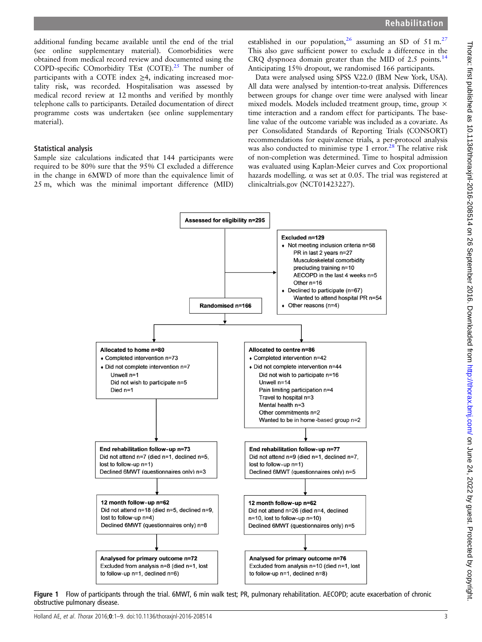<span id="page-2-0"></span>additional funding became available until the end of the trial (see online supplementary material). Comorbidities were obtained from medical record review and documented using the COPD-specific COmorbidity TEst (COTE).<sup>[25](#page-7-0)</sup> The number of participants with a COTE index  $\geq$ 4, indicating increased mortality risk, was recorded. Hospitalisation was assessed by medical record review at 12 months and verified by monthly telephone calls to participants. Detailed documentation of direct programme costs was undertaken (see online supplementary material).

#### Statistical analysis

Sample size calculations indicated that 144 participants were required to be 80% sure that the 95% CI excluded a difference in the change in 6MWD of more than the equivalence limit of 25 m, which was the minimal important difference (MID)

established in our population,<sup>[26](#page-8-0)</sup> assuming an SD of 51 m.<sup>[27](#page-8-0)</sup> This also gave sufficient power to exclude a difference in the CRQ dyspnoea domain greater than the MID of 2.5 points.<sup>[14](#page-7-0)</sup> Anticipating 15% dropout, we randomised 166 participants.

Data were analysed using SPSS V.22.0 (IBM New York, USA). All data were analysed by intention-to-treat analysis. Differences between groups for change over time were analysed with linear mixed models. Models included treatment group, time, group × time interaction and a random effect for participants. The baseline value of the outcome variable was included as a covariate. As per Consolidated Standards of Reporting Trials (CONSORT) recommendations for equivalence trials, a per-protocol analysis was also conducted to minimise type 1 error. $28$  The relative risk of non-completion was determined. Time to hospital admission was evaluated using Kaplan-Meier curves and Cox proportional hazards modelling.  $\alpha$  was set at 0.05. The trial was registered at clinicaltrials.gov (NCT01423227).



Figure 1 Flow of participants through the trial. 6MWT, 6 min walk test; PR, pulmonary rehabilitation. AECOPD; acute exacerbation of chronic obstructive pulmonary disease.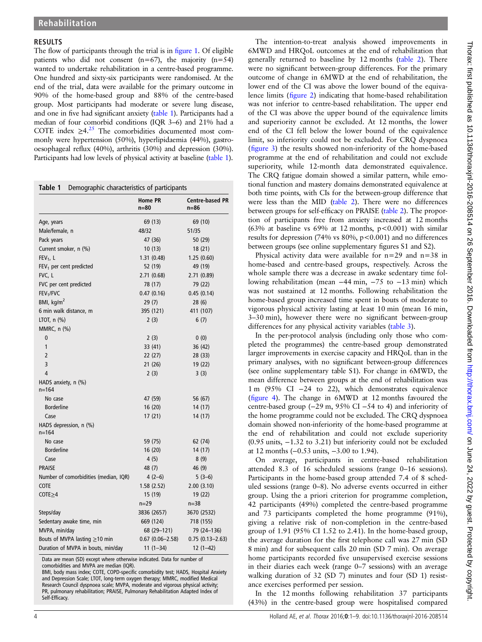#### RESULTS

The flow of participants through the trial is in fi[gure 1.](#page-2-0) Of eligible patients who did not consent  $(n=67)$ , the majority  $(n=54)$ wanted to undertake rehabilitation in a centre-based programme. One hundred and sixty-six participants were randomised. At the end of the trial, data were available for the primary outcome in 90% of the home-based group and 88% of the centre-based group. Most participants had moderate or severe lung disease, and one in five had significant anxiety (table 1). Participants had a median of four comorbid conditions (IQR 3–6) and 21% had a COTE index  $\geq 4.^{25}$  $\geq 4.^{25}$  $\geq 4.^{25}$  The comorbidities documented most commonly were hypertension (50%), hyperlipidaemia (44%), gastrooesophageal reflux (40%), arthritis (30%) and depression (30%). Participants had low levels of physical activity at baseline (table 1).

Table 1 Demographic characteristics of participants

|                                       | <b>Home PR</b><br>$n=80$ | <b>Centre-based PR</b><br>$n=86$ |
|---------------------------------------|--------------------------|----------------------------------|
| Age, years                            | 69 (13)                  | 69 (10)                          |
| Male/female, n                        | 48/32                    | 51/35                            |
| Pack years                            | 47 (36)                  | 50(29)                           |
| Current smoker, n (%)                 | 10(13)                   | 18 (21)                          |
| $FEV1$ , L                            | 1.31(0.48)               | 1.25(0.60)                       |
| $FEV1$ per cent predicted             | 52 (19)                  | 49 (19)                          |
| FVC, L                                | 2.71(0.68)               | 2.71(0.89)                       |
| FVC per cent predicted                | 78 (17)                  | 79 (22)                          |
| FEV <sub>1</sub> /FVC                 | 0.47(0.16)               | 0.45(0.14)                       |
| BMI, $kg/m2$                          | 29(7)                    | 28 (6)                           |
| 6 min walk distance, m                | 395 (121)                | 411 (107)                        |
| LTOT, n (%)                           | 2(3)                     | 6(7)                             |
| MMRC, n (%)                           |                          |                                  |
| 0                                     | 2(3)                     | 0(0)                             |
| 1                                     | 33 (41)                  | 36(42)                           |
| $\overline{2}$                        | 22 (27)                  | 28(33)                           |
| 3                                     | 21 (26)                  | 19 (22)                          |
| 4                                     | 2(3)                     | 3(3)                             |
| HADS anxiety, n (%)<br>$n = 164$      |                          |                                  |
| No case                               | 47 (59)                  | 56 (67)                          |
| <b>Borderline</b>                     | 16 (20)                  | 14 (17)                          |
| Case                                  | 17(21)                   | 14 (17)                          |
| HADS depression, n (%)<br>$n = 164$   |                          |                                  |
| No case                               | 59 (75)                  | 62 (74)                          |
| <b>Borderline</b>                     | 16 (20)                  | 14 (17)                          |
| Case                                  | 4(5)                     | 8(9)                             |
| <b>PRAISE</b>                         | 48 (7)                   | 46 (9)                           |
| Number of comorbidities (median, IQR) | $4(2-6)$                 | $5(3-6)$                         |
| <b>COTE</b>                           | 1.58(2.52)               | 2.00(3.10)                       |
| $COTE \geq 4$                         | 15 (19)                  | 19 (22)                          |
|                                       | $n = 29$                 | $n = 38$                         |
| Steps/day                             | 3836 (2657)              | 3670 (2532)                      |
| Sedentary awake time, min             | 669 (124)                | 718 (155)                        |
| MVPA, min/day                         | 68 (29–121)              | 79 (24–136)                      |
| Bouts of MVPA lasting $\geq$ 10 min   | $0.67(0.06 - 2.58)$      | $0.75(0.13 - 2.63)$              |
| Duration of MVPA in bouts, min/day    | $11(1-34)$               | $12(1-42)$                       |

Data are mean (SD) except where otherwise indicated. Data for number of comorbidities and MVPA are median (IQR).

BMI, body mass index; COTE, COPD-specific comorbidity test; HADS, Hospital Anxiety and Depression Scale; LTOT, long-term oxygen therapy; MMRC, modified Medical Research Council dyspnoea scale; MVPA, moderate and vigorous physical activity; PR, pulmonary rehabilitation; PRAISE, Pulmonary Rehabilitation Adapted Index of Self-Efficacy.

The intention-to-treat analysis showed improvements in 6MWD and HRQoL outcomes at the end of rehabilitation that generally returned to baseline by 12 months ([table 2\)](#page-4-0). There were no significant between-group differences. For the primary outcome of change in 6MWD at the end of rehabilitation, the lower end of the CI was above the lower bound of the equivalence limits (fi[gure 2\)](#page-4-0) indicating that home-based rehabilitation was not inferior to centre-based rehabilitation. The upper end of the CI was above the upper bound of the equivalence limits and superiority cannot be excluded. At 12 months, the lower end of the CI fell below the lower bound of the equivalence limit, so inferiority could not be excluded. For CRQ dyspnoea (fi[gure 3](#page-4-0)) the results showed non-inferiority of the home-based programme at the end of rehabilitation and could not exclude superiority, while 12-month data demonstrated equivalence. The CRQ fatigue domain showed a similar pattern, while emotional function and mastery domains demonstrated equivalence at both time points, with CIs for the between-group difference that were less than the MID [\(table 2\)](#page-4-0). There were no differences between groups for self-efficacy on PRAISE [\(table 2](#page-4-0)). The proportion of participants free from anxiety increased at 12 months (63% at baseline vs  $69%$  at 12 months,  $p<0.001$ ) with similar results for depression (74% vs 80%, p<0.001) and no differences between groups (see online supplementary figures S1 and S2).

Physical activity data were available for  $n=29$  and  $n=38$  in home-based and centre-based groups, respectively. Across the whole sample there was a decrease in awake sedentary time following rehabilitation (mean −44 min, −75 to −13 min) which was not sustained at 12 months. Following rehabilitation the home-based group increased time spent in bouts of moderate to vigorous physical activity lasting at least 10 min (mean 16 min, 3–30 min), however there were no significant between-group differences for any physical activity variables [\(table 3](#page-5-0)).

In the per-protocol analysis (including only those who completed the programmes) the centre-based group demonstrated larger improvements in exercise capacity and HRQoL than in the primary analyses, with no significant between-group differences (see online supplementary table S1). For change in 6MWD, the mean difference between groups at the end of rehabilitation was 1 m (95% CI −24 to 22), which demonstrates equivalence (fi[gure 4](#page-5-0)). The change in 6MWD at 12 months favoured the centre-based group (−29 m, 95% CI −54 to 4) and inferiority of the home programme could not be excluded. The CRQ dyspnoea domain showed non-inferiority of the home-based programme at the end of rehabilitation and could not exclude superiority (0.95 units, −1.32 to 3.21) but inferiority could not be excluded at 12 months (−0.53 units, −3.00 to 1.94).

On average, participants in centre-based rehabilitation attended 8.3 of 16 scheduled sessions (range 0–16 sessions). Participants in the home-based group attended 7.4 of 8 scheduled sessions (range 0–8). No adverse events occurred in either group. Using the a priori criterion for programme completion, 42 participants (49%) completed the centre-based programme and 73 participants completed the home programme (91%), giving a relative risk of non-completion in the centre-based group of 1.91 (95% CI 1.52 to 2.41). In the home-based group, the average duration for the first telephone call was 27 min (SD 8 min) and for subsequent calls 20 min (SD 7 min). On average home participants recorded five unsupervised exercise sessions in their diaries each week (range 0–7 sessions) with an average walking duration of 32 (SD 7) minutes and four (SD 1) resistance exercises performed per session.

In the 12 months following rehabilitation 37 participants (43%) in the centre-based group were hospitalised compared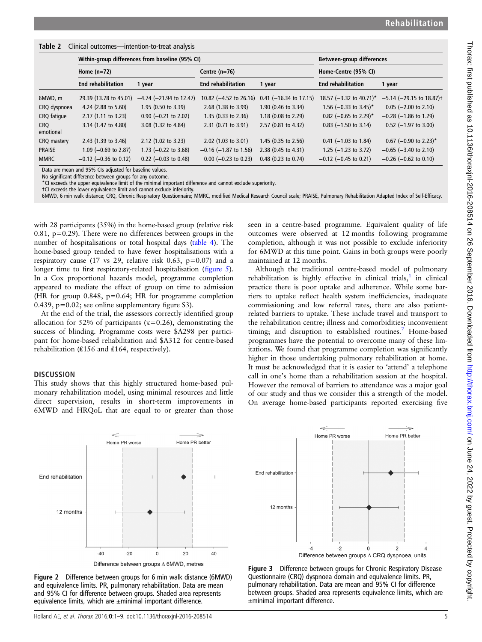<span id="page-4-0"></span>

| Table 2 Clinical outcomes-intention-to-treat analysis |
|-------------------------------------------------------|
|-------------------------------------------------------|

|                  | Within-group differences from baseline (95% CI) |                                 |                                   |                          | Between-group differences  |                                           |
|------------------|-------------------------------------------------|---------------------------------|-----------------------------------|--------------------------|----------------------------|-------------------------------------------|
|                  | Home $(n=72)$                                   |                                 | Centre $(n=76)$                   |                          | Home-Centre (95% CI)       |                                           |
|                  | <b>End rehabilitation</b>                       | 1 year                          | <b>End rehabilitation</b>         | 1 year                   | <b>End rehabilitation</b>  | 1 year                                    |
| 6MWD, m          | 29.39 (13.78 to 45.01)                          | $-4.74$ ( $-21.94$ to 12.47)    | 10.82 $(-4.52 \text{ to } 26.16)$ | $0.41$ (-16.34 to 17.15) | 18.57 (-3.32 to 40.71)*    | $-5.14$ ( $-29.15$ to 18.87) <sup>†</sup> |
| CRQ dyspnoea     | 4.24 (2.88 to 5.60)                             | $1.95(0.50 \text{ to } 3.39)$   | 2.68 (1.38 to 3.99)               | 1.90 (0.46 to 3.34)      | 1.56 $(-0.33$ to 3.45)*    | $0.05$ (-2.00 to 2.10)                    |
| CRQ fatique      | $2.17(1.11$ to $3.23)$                          | $0.90$ (-0.21 to 2.02)          | $1.35(0.33)$ to $2.36$ )          | $1.18$ (0.08 to 2.29)    | 0.82 (-0.65 to 2.29)*      | $-0.28$ ( $-1.86$ to 1.29)                |
| CRO<br>emotional | 3.14 (1.47 to 4.80)                             | 3.08 (1.32 to 4.84)             | 2.31 (0.71 to 3.91)               | 2.57 (0.81 to 4.32)      | $0.83$ (-1.50 to 3.14)     | $0.52$ (-1.97 to 3.00)                    |
| CRQ mastery      | 2.43 $(1.39 \text{ to } 3.46)$                  | $2.12$ (1.02 to 3.23)           | $2.02$ (1.03 to 3.01)             | 1.45 $(0.35$ to 2.56)    | $0.41$ (-1.03 to 1.84)     | $0.67$ (-0.90 to 2.23) <sup>*</sup>       |
| <b>PRAISE</b>    | 1.09 $(-0.69$ to 2.87)                          | 1.73 $(-0.22 \text{ to } 3.68)$ | $-0.16$ (-1.87 to 1.56)           | 2.38 (0.45 to 4.31)      | 1.25 $(-1.23$ to 3.72)     | $-0.65$ ( $-3.40$ to 2.10)                |
| <b>MMRC</b>      | $-0.12$ ( $-0.36$ to 0.12)                      | $0.22$ (-0.03 to 0.48)          | $0.00$ (-0.23 to 0.23)            | $0.48$ (0.23 to 0.74)    | $-0.12$ ( $-0.45$ to 0.21) | $-0.26$ ( $-0.62$ to 0.10)                |

Data are mean and 95% CIs adjusted for baseline values. No significant difference between groups for any outcome.

\*CI exceeds the upper equivalence limit of the minimal important difference and cannot exclude superiority.

†Cl exceeds the lower equivalence limit and cannot exclude inferiority.<br>6MWD, 6 min walk distance; CRQ, Chronic Respiratory Questionnaire; MMRC, modified Medical Research Council scale; PRAISE, Pulmonary Rehabilitation Ada

End rehabilitation

12 months

 $-4$ 

with 28 participants (35%) in the home-based group (relative risk 0.81,  $p=0.29$ ). There were no differences between groups in the number of hospitalisations or total hospital days ([table 4](#page-5-0)). The home-based group tended to have fewer hospitalisations with a respiratory cause (17 vs 29, relative risk 0.63,  $p=0.07$ ) and a longer time to first respiratory-related hospitalisation (fi[gure 5](#page-6-0)). In a Cox proportional hazards model, programme completion appeared to mediate the effect of group on time to admission (HR for group 0.848, p=0.64; HR for programme completion 0.439, p=0.02; see online supplementary figure S3).

At the end of the trial, the assessors correctly identified group allocation for 52% of participants ( $\kappa$ =0.26), demonstrating the success of blinding. Programme costs were \$A298 per participant for home-based rehabilitation and \$A312 for centre-based rehabilitation (₤156 and ₤164, respectively).

#### **DISCUSSION**

This study shows that this highly structured home-based pulmonary rehabilitation model, using minimal resources and little direct supervision, results in short-term improvements in 6MWD and HRQoL that are equal to or greater than those

seen in a centre-based programme. Equivalent quality of life outcomes were observed at 12 months following programme completion, although it was not possible to exclude inferiority for 6MWD at this time point. Gains in both groups were poorly maintained at 12 months.

Although the traditional centre-based model of pulmonary rehabilitation is highly effective in clinical trials, $1$  in clinical practice there is poor uptake and adherence. While some barriers to uptake reflect health system inefficiencies, inadequate commissioning and low referral rates, there are also patientrelated barriers to uptake. These include travel and transport to the rehabilitation centre; illness and comorbidities; inconvenient timing; and disruption to established routines.<sup>[7](#page-7-0)</sup> Home-based programmes have the potential to overcome many of these limitations. We found that programme completion was significantly higher in those undertaking pulmonary rehabilitation at home. It must be acknowledged that it is easier to 'attend' a telephone call in one's home than a rehabilitation session at the hospital. However the removal of barriers to attendance was a major goal of our study and thus we consider this a strength of the model. On average home-based participants reported exercising five





Difference between groups  $\Delta$  6MWD, metres

Figure 2 Difference between groups for 6 min walk distance (6MWD) and equivalence limits. PR, pulmonary rehabilitation. Data are mean and 95% CI for difference between groups. Shaded area represents equivalence limits, which are ±minimal important difference.

 $\overline{4}$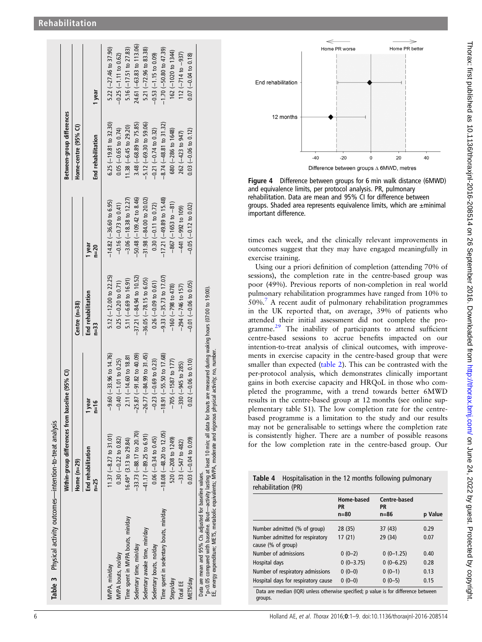<span id="page-5-0"></span>

|                                                                                                                                                                                                                                                                                                                            | Within-group differences from baseline (95% CI) |                                     |                             |                                     | Between-group differences |                                   |
|----------------------------------------------------------------------------------------------------------------------------------------------------------------------------------------------------------------------------------------------------------------------------------------------------------------------------|-------------------------------------------------|-------------------------------------|-----------------------------|-------------------------------------|---------------------------|-----------------------------------|
|                                                                                                                                                                                                                                                                                                                            | Home $(n=29)$                                   |                                     | Centre (n=38)               |                                     | Home-centre (95% CI)      |                                   |
|                                                                                                                                                                                                                                                                                                                            | End rehabilitation<br>$n=25$                    | ēā<br>$n=16$                        | End rehabilitation<br>n=33  | 1 year<br>$n=20$                    | End rehabilitation        | 1 year                            |
| MVPA, min/day                                                                                                                                                                                                                                                                                                              | $11.37(-8.27$ to $31.01$ )                      | $-9.60$ ( $-33.96$ to 14.76)        | 5.12 $(-12.00$ to 22.25)    | $-14.82$ ( $-36.60$ to 6.95)        | $6.25$ (-19.81 to 32.30)  | 5.22 $(-27.46 \text{ to } 37.90)$ |
| MVPA bouts, no/day                                                                                                                                                                                                                                                                                                         | $0.30 (-0.22 to 0.82)$                          | $-0.40$ $(-1.01$ to 0.25)           | $0.25$ (-0.20 to 0.71)      | $-0.16(-0.73$ to 0.41)              | $0.05$ (-0.65 to 0.74)    | $-0.25$ $(-1.11$ to 0.62)         |
| Time spent in MVPA bouts, min/day                                                                                                                                                                                                                                                                                          | 16.49* (3.13 to 29.84)                          | $2.11 (-14.60 to 18.81$             | $5.11 (-6.69 to 16.91)$     | $-3.06$ ( $-18.38$ to 12.27)        | $(1.38 (-6.45 to 29.20))$ | 5.16 $(-17.51$ to 27.83)          |
| Sedentary time, min/day                                                                                                                                                                                                                                                                                                    | $-33.73(-88.17$ to 20.70)                       | $-25.87(-91.82$ to 40.09)           | $-37.21 (-84.94 to 10.52)$  | $-50.48$ $(-109.42$ to 8.46)        | 3.48 (-68.89 to 75.85)    | 24.61 (-63.83 to 113.06)          |
| Sedentary awake time, min/day                                                                                                                                                                                                                                                                                              | $-41.17(-89.25$ to 6.91)                        | $-26.77(-84.99$ to 31.45)           | $-36.05$ $(-78.15$ to 6.05) | $-31.98 (-84.00 to 20.02)$          | $-5.12 (-69.30 to 59.06)$ | 5.21 $(-72.96 \text{ to } 83.38)$ |
| Sedentary bouts, no/day                                                                                                                                                                                                                                                                                                    | $0.06 (-0.34 to 0.45)$                          | $-0.23$ $(-0.69$ to 0.23)           | $0.26$ (-0.09 to 0.61)      | $0.30 (-0.11 to 0.72)$              | $-0.21$ $(-0.74$ to 0.32) | $-0.53(-1.15$ to 0.09)            |
| Time spent in sedentary bouts, min/day                                                                                                                                                                                                                                                                                     | $-18.08$ $(-48.20$ to 12.05)                    | $-18.91 (-55.50 \text{ to } 17.68)$ | $-9.33 (-35.73$ to 17.07)   | $-17.21 (-49.89 \text{ to } 15.48)$ | $-8.74 (-48.81$ to 31.32) | $-1.70$ ( $-50.80$ to $47.39$ )   |
| Steps/day                                                                                                                                                                                                                                                                                                                  | $520 (-208 to 1249)$                            | $-705(-1587$ to 177)                | $-160$ $(-798$ to 478)      | $-867(-1653$ to $-81)$              | 680 (-286 to 1648)        | 162 (-1020 to 1344)               |
| Total EE                                                                                                                                                                                                                                                                                                                   | $-33 (-547 to 482)$                             | $-330 (-945 to 285)$                | $-294 (-746$ to 157)        | $-441 (-992 to 109)$                | 262 (-423 to 947)         | $112 (-714 to -937)$              |
| METS/day                                                                                                                                                                                                                                                                                                                   | $0.03$ (-0.04 to 0.09)                          | $0.02 (-0.06 to 0.10)$              | $-0.01$ $(-0.06$ to $0.05)$ | $-0.05$ $(-0.12$ to 0.02)           | $0.03$ (-0.06 to 0.12)    | $0.07 (-0.04 \text{ to } 0.18)$   |
| *p<0.05 compared with baseline. Bout—activity lasting at least 10 min; all data for bouts are measured during waking hours (07:00 to 19:00).<br>EE, energy expenditure; METS, metabolic equivalents; MVPA, moderate and vigorous physical activity; no, number.<br>Data are mean and 95% CIs adjusted for baseline values. |                                                 |                                     |                             |                                     |                           |                                   |



Figure 4 Difference between groups for 6 min walk distance (6MWD) and equivalence limits, per protocol analysis. PR, pulmonary rehabilitation. Data are mean and 95% CI for difference between groups. Shaded area represents equivalence limits, which are ±minimal important difference.

times each week, and the clinically relevant improvements in outcomes suggest that they may have engaged meaningfully in exercise training.

Using our a priori de finition of completion (attending 70% of sessions), the completion rate in the centre-based group was poor (49%). Previous reports of non-completion in real world pulmonary rehabilitation programmes have ranged from 10% to 50%. [7](#page-7-0) A recent audit of pulmonary rehabilitation programmes in the UK reported that, on average, 39% of patients who attended their initial assessment did not complete the programme.[29](#page-8-0) The inability of participants to attend sufficient centre-based sessions to accrue bene fits impacted on our intention-to-treat analysis of clinical outcomes, with improvements in exercise capacity in the centre-based group that were smaller than expected ([table 2\)](#page-4-0). This can be contrasted with the per-protocol analysis, which demonstrates clinically important gains in both exercise capacity and HRQoL in those who completed the programme, with a trend towards better 6MWD results in the centre-based group at 12 months (see online supplementary table S1). The low completion rate for the centrebased programme is a limitation to the study and our results may not be generalisable to settings where the completion rate is consistently higher. There are a number of possible reasons for the low completion rate in the centre-based group. Our

|                     | <b>Table 4</b> Hospitalisation in the 12 months following pulmonary |
|---------------------|---------------------------------------------------------------------|
| rehabilitation (PR) |                                                                     |

|                                                                                     | Home-based<br><b>PR</b><br>$n=80$ | <b>Centre-based</b><br><b>PR</b><br>$n = 86$ | p Value |  |  |
|-------------------------------------------------------------------------------------|-----------------------------------|----------------------------------------------|---------|--|--|
| Number admitted (% of group)                                                        | 28 (35)                           | 37(43)                                       | 0.29    |  |  |
| Number admitted for respiratory<br>cause (% of group)                               | 17(21)                            | 29 (34)                                      | 0.07    |  |  |
| Number of admissions                                                                | $0(0-2)$                          | $0(0-1.25)$                                  | 0.40    |  |  |
| Hospital days                                                                       | $0(0-3.75)$                       | $0(0-6.25)$                                  | 0.28    |  |  |
| Number of respiratory admissions                                                    | $0(0-0)$                          | $0(0-1)$                                     | 0.13    |  |  |
| Hospital days for respiratory cause                                                 | $0(0-0)$                          | $0(0-5)$                                     | 0.15    |  |  |
| Data are median (IQR) unless otherwise specified; p value is for difference between |                                   |                                              |         |  |  |

groups.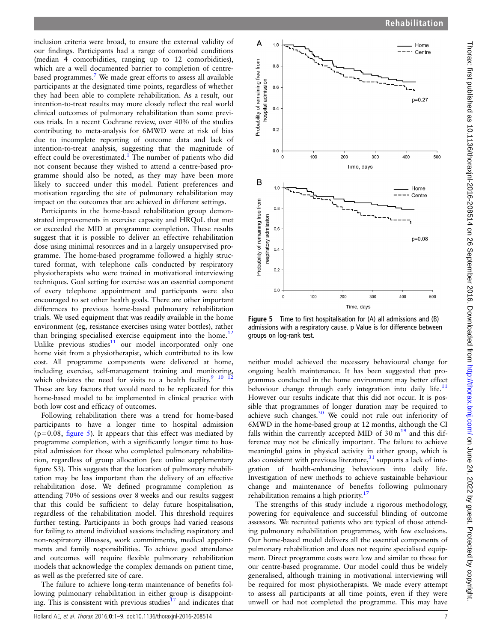<span id="page-6-0"></span>inclusion criteria were broad, to ensure the external validity of our findings. Participants had a range of comorbid conditions (median 4 comorbidities, ranging up to 12 comorbidities), which are a well documented barrier to completion of centrebased programmes.[7](#page-7-0) We made great efforts to assess all available participants at the designated time points, regardless of whether they had been able to complete rehabilitation. As a result, our intention-to-treat results may more closely reflect the real world clinical outcomes of pulmonary rehabilitation than some previous trials. In a recent Cochrane review, over 40% of the studies contributing to meta-analysis for 6MWD were at risk of bias due to incomplete reporting of outcome data and lack of intention-to-treat analysis, suggesting that the magnitude of effect could be overestimated.<sup>1</sup> The number of patients who did not consent because they wished to attend a centre-based programme should also be noted, as they may have been more likely to succeed under this model. Patient preferences and motivation regarding the site of pulmonary rehabilitation may impact on the outcomes that are achieved in different settings.

Participants in the home-based rehabilitation group demonstrated improvements in exercise capacity and HRQoL that met or exceeded the MID at programme completion. These results suggest that it is possible to deliver an effective rehabilitation dose using minimal resources and in a largely unsupervised programme. The home-based programme followed a highly structured format, with telephone calls conducted by respiratory physiotherapists who were trained in motivational interviewing techniques. Goal setting for exercise was an essential component of every telephone appointment and participants were also encouraged to set other health goals. There are other important differences to previous home-based pulmonary rehabilitation trials. We used equipment that was readily available in the home environment (eg, resistance exercises using water bottles), rather than bringing specialised exercise equipment into the home.<sup>12</sup> Unlike previous studies<sup>11</sup> our model incorporated only one home visit from a physiotherapist, which contributed to its low cost. All programme components were delivered at home, including exercise, self-management training and monitoring, which obviates the need for visits to a health facility.<sup>9</sup> <sup>10</sup> <sup>12</sup> These are key factors that would need to be replicated for this home-based model to be implemented in clinical practice with both low cost and efficacy of outcomes.

Following rehabilitation there was a trend for home-based participants to have a longer time to hospital admission  $(p=0.08,$  figure 5). It appears that this effect was mediated by programme completion, with a significantly longer time to hospital admission for those who completed pulmonary rehabilitation, regardless of group allocation (see online supplementary figure S3). This suggests that the location of pulmonary rehabilitation may be less important than the delivery of an effective rehabilitation dose. We defined programme completion as attending 70% of sessions over 8 weeks and our results suggest that this could be sufficient to delay future hospitalisation, regardless of the rehabilitation model. This threshold requires further testing. Participants in both groups had varied reasons for failing to attend individual sessions including respiratory and non-respiratory illnesses, work commitments, medical appointments and family responsibilities. To achieve good attendance and outcomes will require flexible pulmonary rehabilitation models that acknowledge the complex demands on patient time, as well as the preferred site of care.

The failure to achieve long-term maintenance of benefits following pulmonary rehabilitation in either group is disappointing. This is consistent with previous studies $17$  and indicates that



Figure 5 Time to first hospitalisation for (A) all admissions and (B) admissions with a respiratory cause. p Value is for difference between groups on log-rank test.

neither model achieved the necessary behavioural change for ongoing health maintenance. It has been suggested that programmes conducted in the home environment may better effect behaviour change through early integration into daily life. $11$ However our results indicate that this did not occur. It is possible that programmes of longer duration may be required to achieve such changes[.30](#page-8-0) We could not rule out inferiority of 6MWD in the home-based group at 12 months, although the CI falls within the currently accepted MID of  $30 \text{ m}^{19}$  $30 \text{ m}^{19}$  $30 \text{ m}^{19}$  and this difference may not be clinically important. The failure to achieve meaningful gains in physical activity in either group, which is also consistent with previous literature, $31$  supports a lack of integration of health-enhancing behaviours into daily life. Investigation of new methods to achieve sustainable behaviour change and maintenance of benefits following pulmonary rehabilitation remains a high priority.<sup>[17](#page-7-0)</sup>

The strengths of this study include a rigorous methodology, powering for equivalence and successful blinding of outcome assessors. We recruited patients who are typical of those attending pulmonary rehabilitation programmes, with few exclusions. Our home-based model delivers all the essential components of pulmonary rehabilitation and does not require specialised equipment. Direct programme costs were low and similar to those for our centre-based programme. Our model could thus be widely generalised, although training in motivational interviewing will be required for most physiotherapists. We made every attempt to assess all participants at all time points, even if they were unwell or had not completed the programme. This may have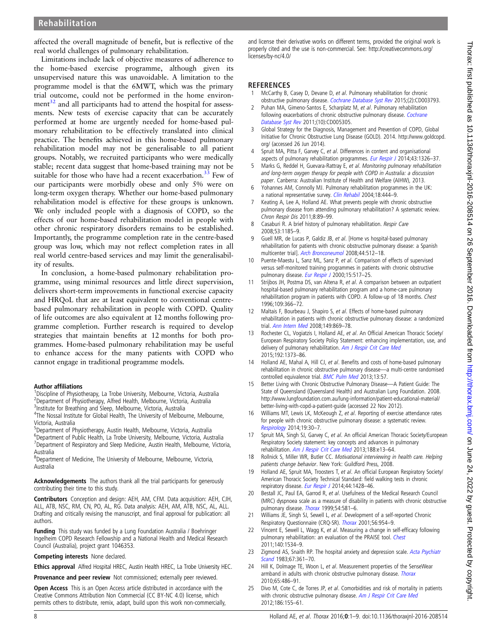# <span id="page-7-0"></span>Rehabilitation

affected the overall magnitude of benefit, but is reflective of the real world challenges of pulmonary rehabilitation.

Limitations include lack of objective measures of adherence to the home-based exercise programme, although given its unsupervised nature this was unavoidable. A limitation to the programme model is that the 6MWT, which was the primary trial outcome, could not be performed in the home environment $32$  and all participants had to attend the hospital for assessments. New tests of exercise capacity that can be accurately performed at home are urgently needed for home-based pulmonary rehabilitation to be effectively translated into clinical practice. The benefits achieved in this home-based pulmonary rehabilitation model may not be generalisable to all patient groups. Notably, we recruited participants who were medically stable; recent data suggest that home-based training may not be suitable for those who have had a recent exacerbation.<sup>33</sup> Few of our participants were morbidly obese and only 5% were on long-term oxygen therapy. Whether our home-based pulmonary rehabilitation model is effective for these groups is unknown. We only included people with a diagnosis of COPD, so the effects of our home-based rehabilitation model in people with other chronic respiratory disorders remains to be established. Importantly, the programme completion rate in the centre-based group was low, which may not reflect completion rates in all real world centre-based services and may limit the generalisability of results.

In conclusion, a home-based pulmonary rehabilitation programme, using minimal resources and little direct supervision, delivers short-term improvements in functional exercise capacity and HRQoL that are at least equivalent to conventional centrebased pulmonary rehabilitation in people with COPD. Quality of life outcomes are also equivalent at 12 months following programme completion. Further research is required to develop strategies that maintain benefits at 12 months for both programmes. Home-based pulmonary rehabilitation may be useful to enhance access for the many patients with COPD who cannot engage in traditional programme models.

#### Author affiliations <sup>1</sup>

<sup>1</sup>Discipline of Physiotherapy, La Trobe University, Melbourne, Victoria, Australia <sup>2</sup>Department of Physiotherapy, Alfred Health, Melbourne, Victoria, Australia <sup>3</sup>Institute for Breathing and Sleep, Melbourne, Victoria, Australia

<sup>4</sup>The Nossal Institute for Global Health, The University of Melbourne, Melbourne, Victoria, Australia

5 Department of Physiotherapy, Austin Health, Melbourne, Victoria, Australia 6 Department of Public Health, La Trobe University, Melbourne, Victoria, Australia

<sup>7</sup>Department of Respiratory and Sleep Medicine, Austin Health, Melbourne, Victoria, Australia 8 Department of Medicine, The University of Melbourne, Melbourne, Victoria,

Australia

Acknowledgements The authors thank all the trial participants for generously contributing their time to this study.

Contributors Conception and design: AEH, AM, CFM. Data acquisition: AEH, CJH, ALL, ATB, NSC, RM, CN, PO, AL, RG. Data analysis: AEH, AM, ATB, NSC, AL, ALL. Drafting and critically revising the manuscript, and final approval for publication: all authors.

Funding This study was funded by a Lung Foundation Australia / Boehringer Ingelheim COPD Research Fellowship and a National Health and Medical Research Council (Australia), project grant 1046353.

Competing interests None declared.

Ethics approval Alfred Hospital HREC, Austin Health HREC, La Trobe University HEC.

Provenance and peer review Not commissioned; externally peer reviewed.

Open Access This is an Open Access article distributed in accordance with the Creative Commons Attribution Non Commercial (CC BY-NC 4.0) license, which permits others to distribute, remix, adapt, build upon this work non-commercially,

and license their derivative works on different terms, provided the original work is properly cited and the use is non-commercial. See: [http://creativecommons.org/](http://creativecommons.org/licenses/by-nc/4.0/) [licenses/by-nc/4.0/](http://creativecommons.org/licenses/by-nc/4.0/)

#### **REFERENCES**

- 1 McCarthy B, Casey D, Devane D, et al. Pulmonary rehabilitation for chronic obstructive pulmonary disease. [Cochrane Database Syst Rev](http://dx.doi.org/10.1002/14651858.CD003793.pub3) 2015;(2):CD003793.
- 2 Puhan MA, Gimeno-Santos E, Scharplatz M, et al. Pulmonary rehabilitation following exacerbations of chronic obstructive pulmonary disease. [Cochrane](http://dx.doi.org/10.1002/14651858.CD005305.pub3) [Database Syst Rev](http://dx.doi.org/10.1002/14651858.CD005305.pub3) 2011;(10):CD005305.
- 3 Global Strategy for the Diagnosis, Management and Prevention of COPD, Global Initiative for Chronic Obstructive Lung Disease (GOLD). 2014. [http://www.goldcopd.](http://www.goldcopd.org/) [org/](http://www.goldcopd.org/) (accessed 26 Jun 2014).
- 4 Spruit MA, Pitta F, Garvey C, et al. Differences in content and organisational aspects of pulmonary rehabilitation programmes. [Eur Respir J](http://dx.doi.org/10.1183/09031936.00145613) 2014;43:1326–37.
- Marks G, Reddel H, Guevara-Rattray E, et al. Monitoring pulmonary rehabilitation and long-term oxygen therapy for people with COPD in Australia: a discussion paper. Canberra: Australian Institute of Health and Welfare (AIHW), 2013.
- 6 Yohannes AM, Connolly MJ. Pulmonary rehabilitation programmes in the UK: a national representative survey. [Clin Rehabil](http://dx.doi.org/10.1191/0269215504cr736oa) 2004;18:444-9.
- 7 Keating A, Lee A, Holland AE. What prevents people with chronic obstructive pulmonary disease from attending pulmonary rehabilitation? A systematic review. Chron Respir Dis 2011;8:89-99.
- 8 Casaburi R. A brief history of pulmonary rehabilitation. Respir Care 2008;53:1185–9.
- 9 Guell MR, de Lucas P, Galdiz JB, et al. [Home vs hospital-based pulmonary rehabilitation for patients with chronic obstructive pulmonary disease: a Spanish multicenter trial]. [Arch Bronconeumol](http://dx.doi.org/10.1157/13126830) 2008;44:512–18.
- 10 Puente-Maestu L, Sanz ML, Sanz P, et al. Comparison of effects of supervised versus self-monitored training programmes in patients with chronic obstructive pulmonary disease. [Eur Respir J](http://dx.doi.org/10.1034/j.1399-3003.2000.15.15.x) 2000;15:517-25.
- 11 Strijbos JH, Postma DS, van Altena R, et al. A comparison between an outpatient hospital-based pulmonary rehabilitation program and a home-care pulmonary rehabilitation program in patients with COPD. A follow-up of 18 months. Chest 1996;109:366–72.
- 12 Maltais F, Bourbeau J, Shapiro S, et al. Effects of home-based pulmonary rehabilitation in patients with chronic obstructive pulmonary disease: a randomized trial. [Ann Intern Med](http://dx.doi.org/10.7326/0003-4819-149-12-200812160-00006) 2008;149:869–78.
- 13 Rochester CL, Vogiatzis I, Holland AE, et al. An Official American Thoracic Society/ European Respiratory Society Policy Statement: enhancing implementation, use, and delivery of pulmonary rehabilitation. [Am J Respir Crit Care Med](http://dx.doi.org/10.1164/rccm.201510-1966ST) 2015;192:1373–86.
- 14 Holland AE, Mahal A, Hill CJ, et al. Benefits and costs of home-based pulmonary rehabilitation in chronic obstructive pulmonary disease—a multi-centre randomised controlled equivalence trial. **[BMC Pulm Med](http://dx.doi.org/10.1186/1471-2466-13-57) 2013**;13:57.
- 15 Better Living with Chronic Obstructive Pulmonary Disease—A Patient Guide: The State of Queensland (Queensland Health) and Australian Lung Foundation. 2008. [http://www.lungfoundation.com.au/lung-information/patient-educational-material/](http://www.lungfoundation.com.au/lung-information/patient-educational-material/better-living-with-copd-a-patient-guide) [better-living-with-copd-a-patient-guide](http://www.lungfoundation.com.au/lung-information/patient-educational-material/better-living-with-copd-a-patient-guide) (accessed 22 Nov 2012).
- 16 Williams MT, Lewis LK, McKeough Z, et al. Reporting of exercise attendance rates for people with chronic obstructive pulmonary disease: a systematic review. [Respirology](http://dx.doi.org/10.1111/resp.12201) 2014;19:30–7.
- 17 Spruit MA, Singh SJ, Garvey C, et al. An official American Thoracic Society/European Respiratory Society statement: key concepts and advances in pulmonary rehabilitation. [Am J Respir Crit Care Med](http://dx.doi.org/10.1164/rccm.201309-1634ST) 2013;188:e13-64.
- 18 Rollnick S, Miller WR, Butler CC. Motivational interviewing in health care. Helping patients change behavior. New York: Guildford Press, 2008.
- 19 Holland AE, Spruit MA, Troosters T, et al. An official European Respiratory Society/ American Thoracic Society Technical Standard: field walking tests in chronic respiratory disease. [Eur Respir J](http://dx.doi.org/10.1183/09031936.00150314) 2014;44:1428-46.
- 20 Bestall JC, Paul EA, Garrod R, et al. Usefulness of the Medical Research Council (MRC) dyspnoea scale as a measure of disability in patients with chronic obstructive pulmonary disease. [Thorax](http://dx.doi.org/10.1136/thx.54.7.581) 1999;54:581–6.
- 21 Williams JE, Singh SJ, Sewell L, et al. Development of a self-reported Chronic Respiratory Questionnaire (CRQ-SR). [Thorax](http://dx.doi.org/10.1136/thorax.56.12.954) 2001;56:954–9.
- 22 Vincent E, Sewell L, Wagg K, et al. Measuring a change in self-efficacy following pulmonary rehabilitation: an evaluation of the PRAISE tool. [Chest](http://dx.doi.org/10.1378/chest.10-2649) 2011;140:1534–9.
- 23 Zigmond AS, Snaith RP. The hospital anxiety and depression scale. [Acta Psychiatr](http://dx.doi.org/10.1111/j.1600-0447.1983.tb09716.x) [Scand](http://dx.doi.org/10.1111/j.1600-0447.1983.tb09716.x) 1983;67:361–70.
- 24 Hill K, Dolmage TE, Woon L, et al. Measurement properties of the SenseWear armband in adults with chronic obstructive pulmonary disease. [Thorax](http://dx.doi.org/10.1136/thx.2009.128702) 2010;65:486–91.
- Divo M, Cote C, de Torres JP, et al. Comorbidities and risk of mortality in patients with chronic obstructive pulmonary disease. [Am J Respir Crit Care Med](http://dx.doi.org/10.1164/rccm.201201-0034OC) 2012;186:155–61.